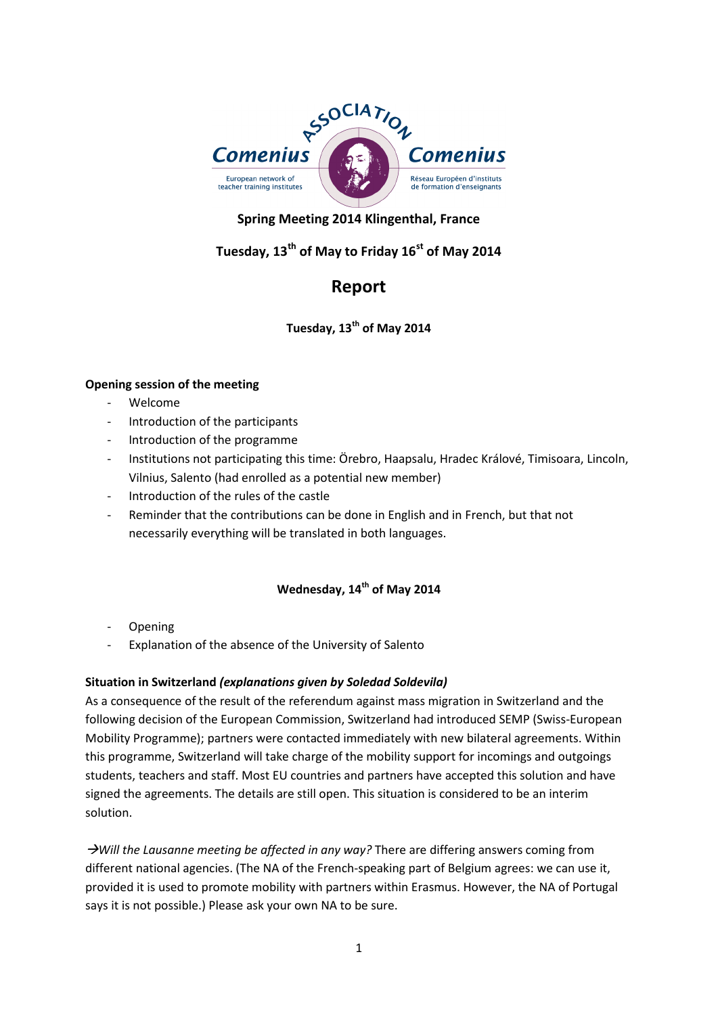

# **Spring Meeting 2014 Klingenthal, France**

# **Tuesday, 13th of May to Friday 16st of May 2014**

# **Report**

**Tuesday, 13th of May 2014**

#### **Opening session of the meeting**

- Welcome
- Introduction of the participants
- Introduction of the programme
- Institutions not participating this time: Örebro, Haapsalu, Hradec Králové, Timisoara, Lincoln, Vilnius, Salento (had enrolled as a potential new member)
- Introduction of the rules of the castle
- Reminder that the contributions can be done in English and in French, but that not necessarily everything will be translated in both languages.

### **Wednesday, 14th of May 2014**

- **Opening**
- Explanation of the absence of the University of Salento

### **Situation in Switzerland** *(explanations given by Soledad Soldevila)*

As a consequence of the result of the referendum against mass migration in Switzerland and the following decision of the European Commission, Switzerland had introduced SEMP (Swiss-European Mobility Programme); partners were contacted immediately with new bilateral agreements. Within this programme, Switzerland will take charge of the mobility support for incomings and outgoings students, teachers and staff. Most EU countries and partners have accepted this solution and have signed the agreements. The details are still open. This situation is considered to be an interim solution.

*Will the Lausanne meeting be affected in any way?* There are differing answers coming from different national agencies. (The NA of the French-speaking part of Belgium agrees: we can use it, provided it is used to promote mobility with partners within Erasmus. However, the NA of Portugal says it is not possible.) Please ask your own NA to be sure.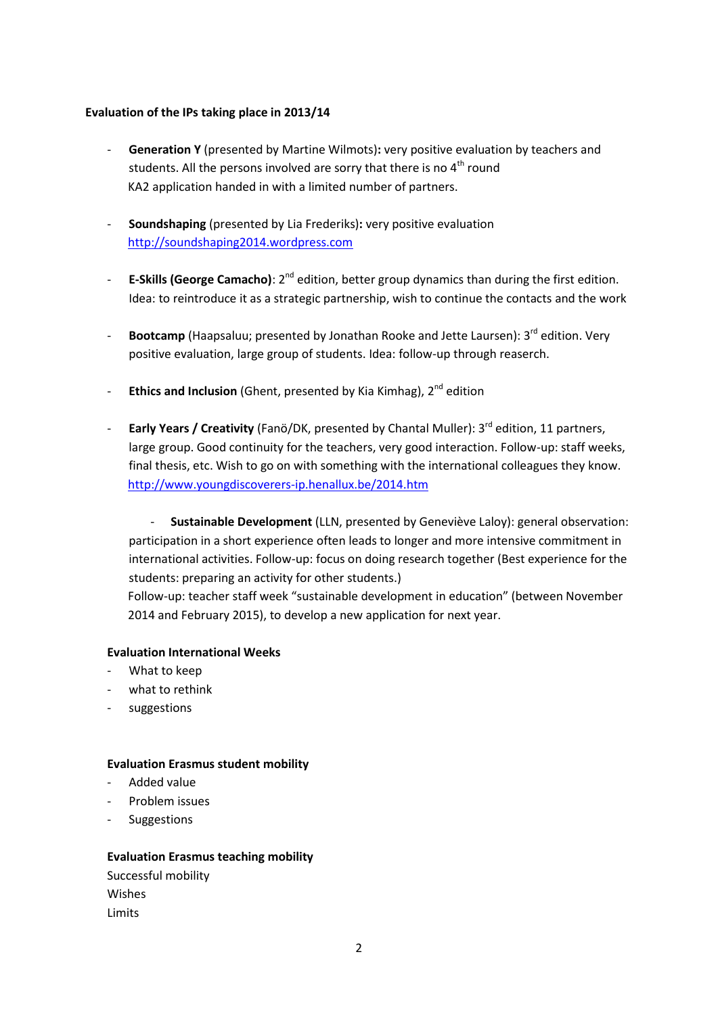#### **Evaluation of the IPs taking place in 2013/14**

- **Generation Y** (presented by Martine Wilmots)**:** very positive evaluation by teachers and students. All the persons involved are sorry that there is no  $4<sup>th</sup>$  round KA2 application handed in with a limited number of partners.
- **Soundshaping** (presented by Lia Frederiks)**:** very positive evaluation [http://soundshaping2014.wordpress.com](http://soundshaping2014.wordpress.com/)
- <sup>-</sup> **E-Skills (George Camacho)**: 2<sup>nd</sup> edition, better group dynamics than during the first edition. Idea: to reintroduce it as a strategic partnership, wish to continue the contacts and the work
- **Bootcamp** (Haapsaluu; presented by Jonathan Rooke and Jette Laursen): 3<sup>rd</sup> edition. Very positive evaluation, large group of students. Idea: follow-up through reaserch.
- **Ethics and Inclusion** (Ghent, presented by Kia Kimhag), 2<sup>nd</sup> edition
- **Early Years / Creativity** (Fanö/DK, presented by Chantal Muller): 3rd edition, 11 partners, large group. Good continuity for the teachers, very good interaction. Follow-up: staff weeks, final thesis, etc. Wish to go on with something with the international colleagues they know. <http://www.youngdiscoverers-ip.henallux.be/2014.htm>

- **Sustainable Development** (LLN, presented by Geneviève Laloy): general observation: participation in a short experience often leads to longer and more intensive commitment in international activities. Follow-up: focus on doing research together (Best experience for the students: preparing an activity for other students.)

Follow-up: teacher staff week "sustainable development in education" (between November 2014 and February 2015), to develop a new application for next year.

#### **Evaluation International Weeks**

- What to keep
- what to rethink
- suggestions

#### **Evaluation Erasmus student mobility**

- Added value
- Problem issues
- **Suggestions**

#### **Evaluation Erasmus teaching mobility**

Successful mobility Wishes Limits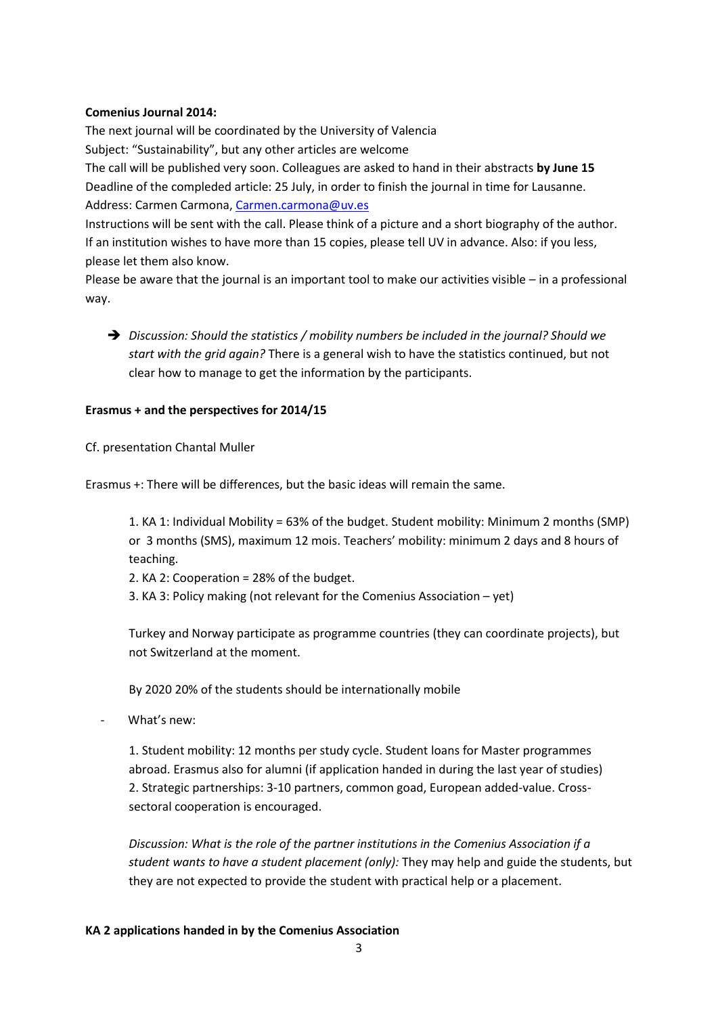#### **Comenius Journal 2014:**

The next journal will be coordinated by the University of Valencia Subject: "Sustainability", but any other articles are welcome The call will be published very soon. Colleagues are asked to hand in their abstracts **by June 15** Deadline of the compleded article: 25 July, in order to finish the journal in time for Lausanne. Address: Carmen Carmona[, Carmen.carmona@uv.es](mailto:Carmen.carmona@uv.es)

Instructions will be sent with the call. Please think of a picture and a short biography of the author. If an institution wishes to have more than 15 copies, please tell UV in advance. Also: if you less, please let them also know.

Please be aware that the journal is an important tool to make our activities visible – in a professional way.

 *Discussion: Should the statistics / mobility numbers be included in the journal? Should we start with the grid again?* There is a general wish to have the statistics continued, but not clear how to manage to get the information by the participants.

#### **Erasmus + and the perspectives for 2014/15**

Cf. presentation Chantal Muller

Erasmus +: There will be differences, but the basic ideas will remain the same.

1. KA 1: Individual Mobility = 63% of the budget. Student mobility: Minimum 2 months (SMP) or 3 months (SMS), maximum 12 mois. Teachers' mobility: minimum 2 days and 8 hours of teaching.

- 2. KA 2: Cooperation = 28% of the budget.
- 3. KA 3: Policy making (not relevant for the Comenius Association yet)

Turkey and Norway participate as programme countries (they can coordinate projects), but not Switzerland at the moment.

By 2020 20% of the students should be internationally mobile

What's new:

1. Student mobility: 12 months per study cycle. Student loans for Master programmes abroad. Erasmus also for alumni (if application handed in during the last year of studies) 2. Strategic partnerships: 3-10 partners, common goad, European added-value. Crosssectoral cooperation is encouraged.

*Discussion: What is the role of the partner institutions in the Comenius Association if a student wants to have a student placement (only):* They may help and guide the students, but they are not expected to provide the student with practical help or a placement.

#### **KA 2 applications handed in by the Comenius Association**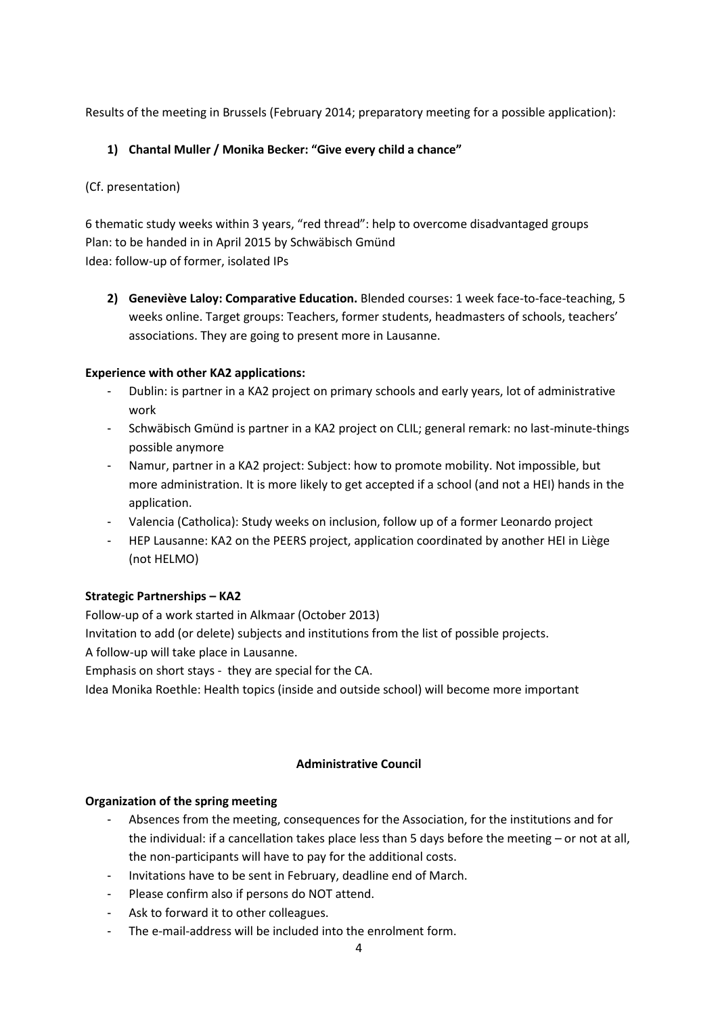Results of the meeting in Brussels (February 2014; preparatory meeting for a possible application):

### **1) Chantal Muller / Monika Becker: "Give every child a chance"**

### (Cf. presentation)

6 thematic study weeks within 3 years, "red thread": help to overcome disadvantaged groups Plan: to be handed in in April 2015 by Schwäbisch Gmünd Idea: follow-up of former, isolated IPs

**2) Geneviève Laloy: Comparative Education.** Blended courses: 1 week face-to-face-teaching, 5 weeks online. Target groups: Teachers, former students, headmasters of schools, teachers' associations. They are going to present more in Lausanne.

### **Experience with other KA2 applications:**

- Dublin: is partner in a KA2 project on primary schools and early years, lot of administrative work
- Schwäbisch Gmünd is partner in a KA2 project on CLIL; general remark: no last-minute-things possible anymore
- Namur, partner in a KA2 project: Subject: how to promote mobility. Not impossible, but more administration. It is more likely to get accepted if a school (and not a HEI) hands in the application.
- Valencia (Catholica): Study weeks on inclusion, follow up of a former Leonardo project
- HEP Lausanne: KA2 on the PEERS project, application coordinated by another HEI in Liège (not HELMO)

### **Strategic Partnerships – KA2**

Follow-up of a work started in Alkmaar (October 2013) Invitation to add (or delete) subjects and institutions from the list of possible projects.

A follow-up will take place in Lausanne.

Emphasis on short stays - they are special for the CA.

Idea Monika Roethle: Health topics (inside and outside school) will become more important

### **Administrative Council**

### **Organization of the spring meeting**

- Absences from the meeting, consequences for the Association, for the institutions and for the individual: if a cancellation takes place less than 5 days before the meeting – or not at all, the non-participants will have to pay for the additional costs.
- Invitations have to be sent in February, deadline end of March.
- Please confirm also if persons do NOT attend.
- Ask to forward it to other colleagues.
- The e-mail-address will be included into the enrolment form.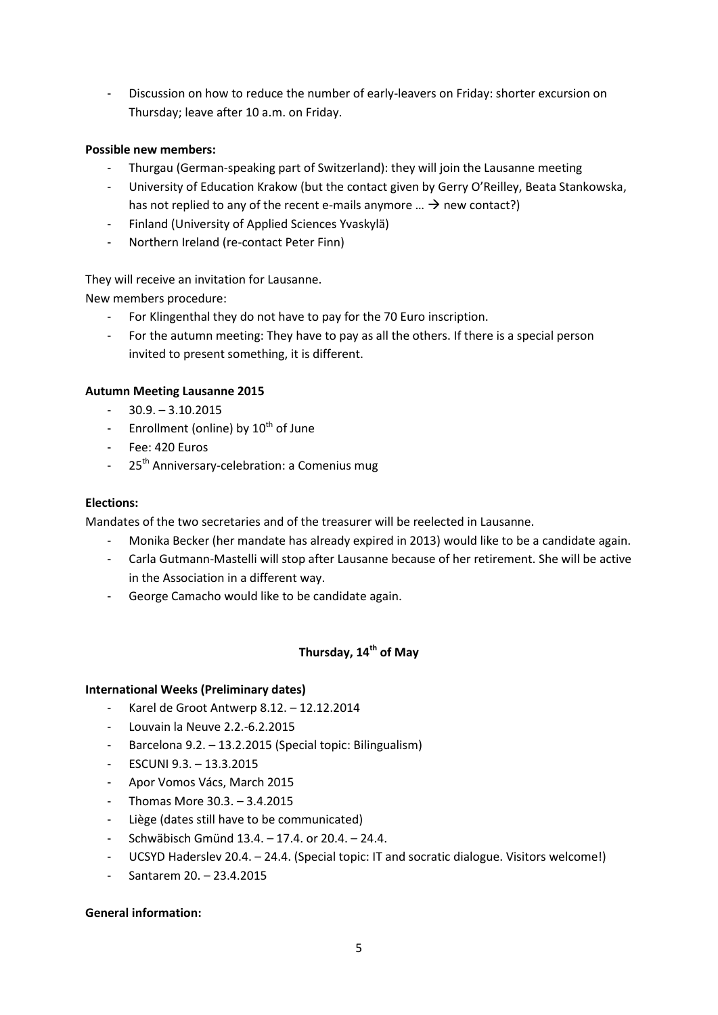- Discussion on how to reduce the number of early-leavers on Friday: shorter excursion on Thursday; leave after 10 a.m. on Friday.

#### **Possible new members:**

- Thurgau (German-speaking part of Switzerland): they will join the Lausanne meeting
- University of Education Krakow (but the contact given by Gerry O'Reilley, Beata Stankowska, has not replied to any of the recent e-mails anymore ...  $\rightarrow$  new contact?)
- Finland (University of Applied Sciences Yvaskylä)
- Northern Ireland (re-contact Peter Finn)

They will receive an invitation for Lausanne.

New members procedure:

- For Klingenthal they do not have to pay for the 70 Euro inscription.
- For the autumn meeting: They have to pay as all the others. If there is a special person invited to present something, it is different.

#### **Autumn Meeting Lausanne 2015**

- $-30.9 3.10.2015$
- Enrollment (online) by  $10^{th}$  of June
- Fee: 420 Euros
- 25<sup>th</sup> Anniversary-celebration: a Comenius mug

#### **Elections:**

Mandates of the two secretaries and of the treasurer will be reelected in Lausanne.

- Monika Becker (her mandate has already expired in 2013) would like to be a candidate again.
- Carla Gutmann-Mastelli will stop after Lausanne because of her retirement. She will be active in the Association in a different way.
- George Camacho would like to be candidate again.

### **Thursday, 14th of May**

#### **International Weeks (Preliminary dates)**

- Karel de Groot Antwerp 8.12. 12.12.2014
- Louvain la Neuve 2.2.-6.2.2015
- Barcelona 9.2. 13.2.2015 (Special topic: Bilingualism)
- ESCUNI 9.3. 13.3.2015
- Apor Vomos Vács, March 2015
- Thomas More 30.3. 3.4.2015
- Liège (dates still have to be communicated)
- Schwäbisch Gmünd 13.4. 17.4. or 20.4. 24.4.
- UCSYD Haderslev 20.4. 24.4. (Special topic: IT and socratic dialogue. Visitors welcome!)
- Santarem 20. 23.4.2015

#### **General information:**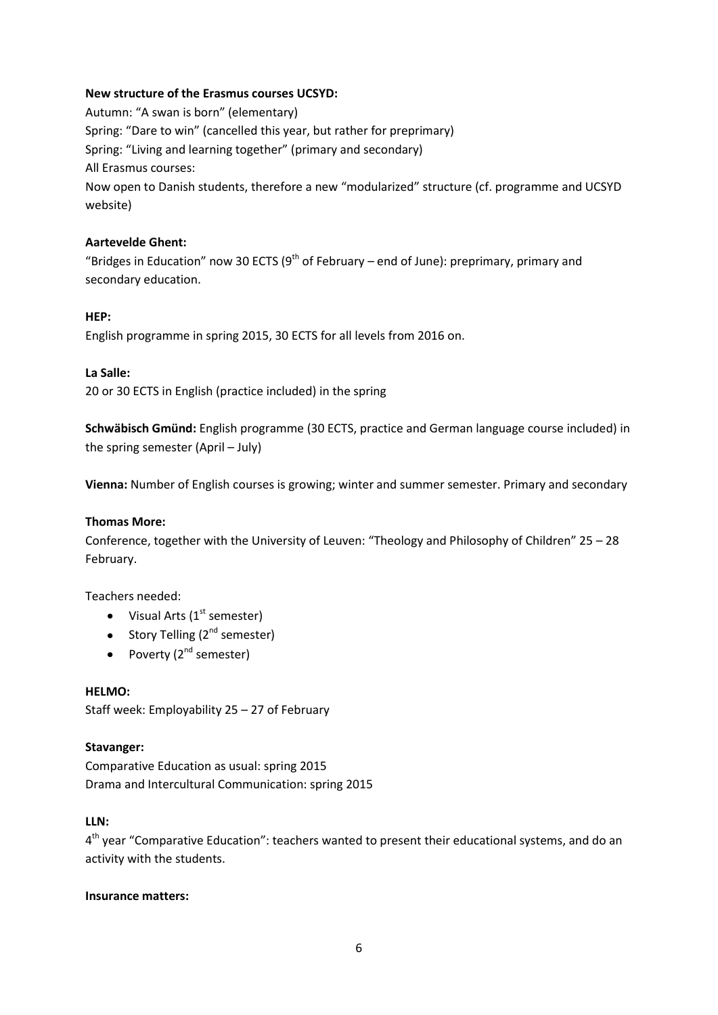### **New structure of the Erasmus courses UCSYD:**

Autumn: "A swan is born" (elementary) Spring: "Dare to win" (cancelled this year, but rather for preprimary) Spring: "Living and learning together" (primary and secondary) All Erasmus courses: Now open to Danish students, therefore a new "modularized" structure (cf. programme and UCSYD website)

#### **Aartevelde Ghent:**

"Bridges in Education" now 30 ECTS ( $9<sup>th</sup>$  of February – end of June): preprimary, primary and secondary education.

#### **HEP:**

English programme in spring 2015, 30 ECTS for all levels from 2016 on.

#### **La Salle:**

20 or 30 ECTS in English (practice included) in the spring

**Schwäbisch Gmünd:** English programme (30 ECTS, practice and German language course included) in the spring semester (April – July)

**Vienna:** Number of English courses is growing; winter and summer semester. Primary and secondary

#### **Thomas More:**

Conference, together with the University of Leuven: "Theology and Philosophy of Children" 25 – 28 February.

Teachers needed:

- $\bullet$  Visual Arts (1<sup>st</sup> semester)
- Story Telling  $(2^{nd}$  semester)
- Poverty  $(2^{nd}$  semester)

### **HELMO:**

Staff week: Employability 25 – 27 of February

### **Stavanger:**

Comparative Education as usual: spring 2015 Drama and Intercultural Communication: spring 2015

#### **LLN:**

4<sup>th</sup> year "Comparative Education": teachers wanted to present their educational systems, and do an activity with the students.

#### **Insurance matters:**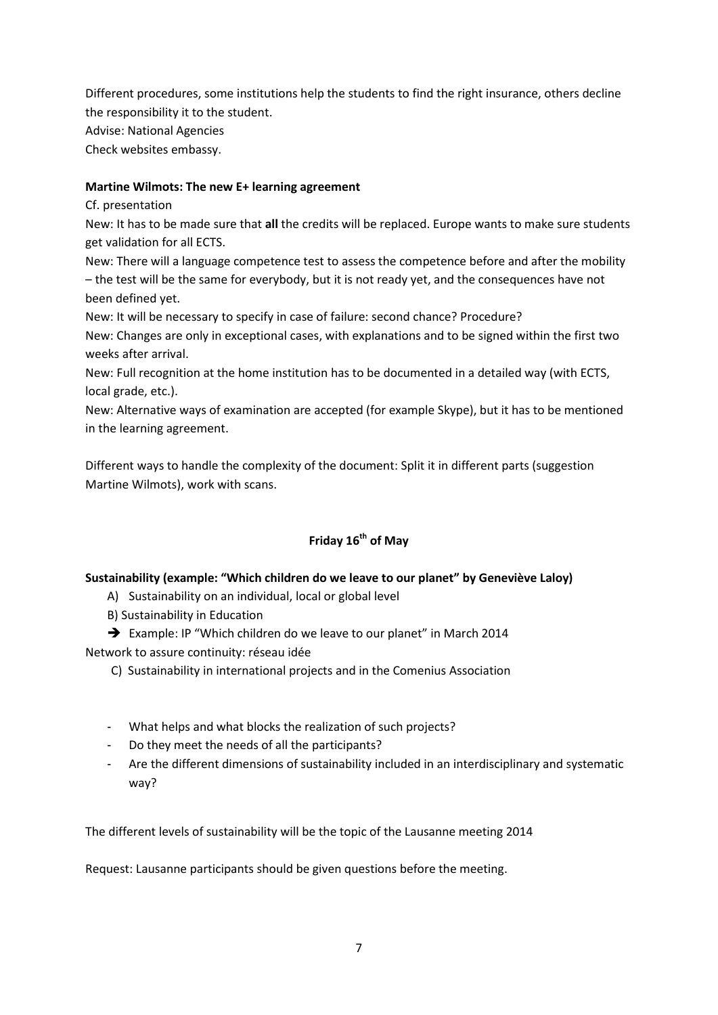Different procedures, some institutions help the students to find the right insurance, others decline the responsibility it to the student.

Advise: National Agencies

Check websites embassy.

### **Martine Wilmots: The new E+ learning agreement**

Cf. presentation

New: It has to be made sure that **all** the credits will be replaced. Europe wants to make sure students get validation for all ECTS.

New: There will a language competence test to assess the competence before and after the mobility – the test will be the same for everybody, but it is not ready yet, and the consequences have not been defined yet.

New: It will be necessary to specify in case of failure: second chance? Procedure?

New: Changes are only in exceptional cases, with explanations and to be signed within the first two weeks after arrival.

New: Full recognition at the home institution has to be documented in a detailed way (with ECTS, local grade, etc.).

New: Alternative ways of examination are accepted (for example Skype), but it has to be mentioned in the learning agreement.

Different ways to handle the complexity of the document: Split it in different parts (suggestion Martine Wilmots), work with scans.

## **Friday 16th of May**

### **Sustainability (example: "Which children do we leave to our planet" by Geneviève Laloy)**

A) Sustainability on an individual, local or global level

B) Sustainability in Education

→ Example: IP "Which children do we leave to our planet" in March 2014

Network to assure continuity: réseau idée

- C) Sustainability in international projects and in the Comenius Association
- What helps and what blocks the realization of such projects?
- Do they meet the needs of all the participants?
- Are the different dimensions of sustainability included in an interdisciplinary and systematic way?

The different levels of sustainability will be the topic of the Lausanne meeting 2014

Request: Lausanne participants should be given questions before the meeting.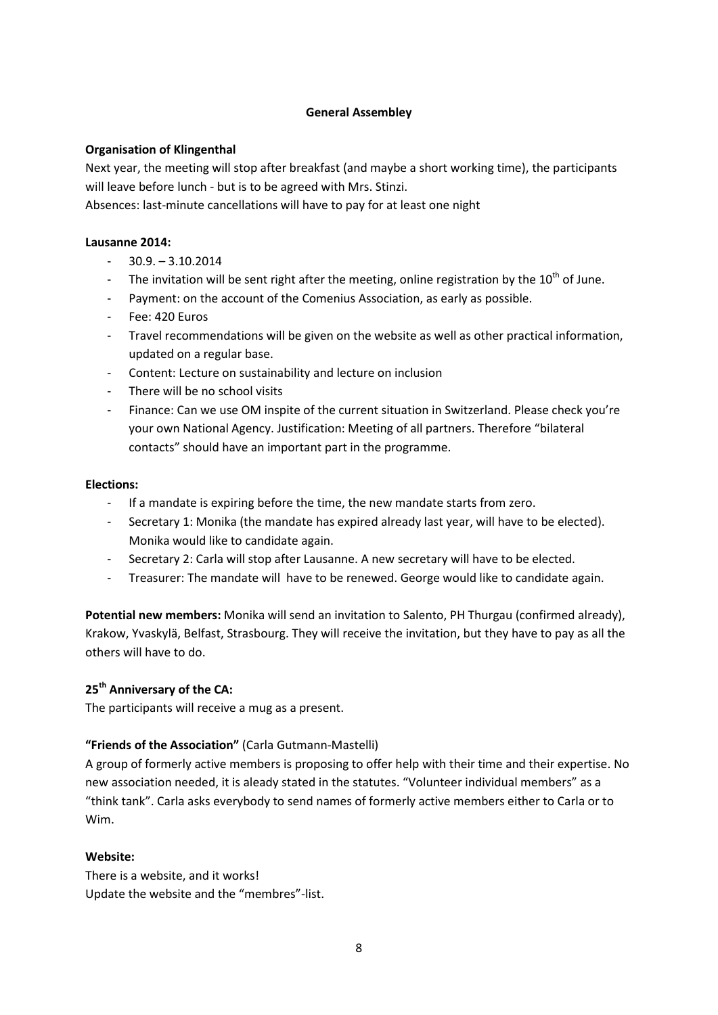#### **General Assembley**

### **Organisation of Klingenthal**

Next year, the meeting will stop after breakfast (and maybe a short working time), the participants will leave before lunch - but is to be agreed with Mrs. Stinzi.

Absences: last-minute cancellations will have to pay for at least one night

#### **Lausanne 2014:**

- $-30.9 3.10.2014$
- The invitation will be sent right after the meeting, online registration by the  $10^{th}$  of June.
- Payment: on the account of the Comenius Association, as early as possible.
- Fee: 420 Euros
- Travel recommendations will be given on the website as well as other practical information, updated on a regular base.
- Content: Lecture on sustainability and lecture on inclusion
- There will be no school visits
- Finance: Can we use OM inspite of the current situation in Switzerland. Please check you're your own National Agency. Justification: Meeting of all partners. Therefore "bilateral contacts" should have an important part in the programme.

#### **Elections:**

- If a mandate is expiring before the time, the new mandate starts from zero.
- Secretary 1: Monika (the mandate has expired already last year, will have to be elected). Monika would like to candidate again.
- Secretary 2: Carla will stop after Lausanne. A new secretary will have to be elected.
- Treasurer: The mandate will have to be renewed. George would like to candidate again.

**Potential new members:** Monika will send an invitation to Salento, PH Thurgau (confirmed already), Krakow, Yvaskylä, Belfast, Strasbourg. They will receive the invitation, but they have to pay as all the others will have to do.

### **25th Anniversary of the CA:**

The participants will receive a mug as a present.

### **"Friends of the Association"** (Carla Gutmann-Mastelli)

A group of formerly active members is proposing to offer help with their time and their expertise. No new association needed, it is aleady stated in the statutes. "Volunteer individual members" as a "think tank". Carla asks everybody to send names of formerly active members either to Carla or to Wim.

#### **Website:**

There is a website, and it works! Update the website and the "membres"-list.